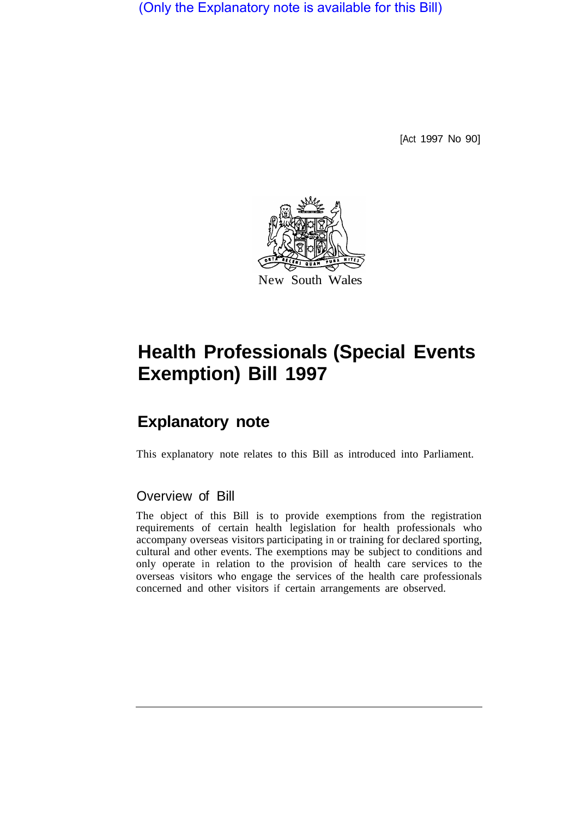(Only the Explanatory note is available for this Bill)

[Act 1997 No 90]



# **Health Professionals (Special Events Exemption) Bill 1997**

# **Explanatory note**

This explanatory note relates to this Bill as introduced into Parliament.

# Overview of Bill

The object of this Bill is to provide exemptions from the registration requirements of certain health legislation for health professionals who accompany overseas visitors participating in or training for declared sporting, cultural and other events. The exemptions may be subject to conditions and only operate in relation to the provision of health care services to the overseas visitors who engage the services of the health care professionals concerned and other visitors if certain arrangements are observed.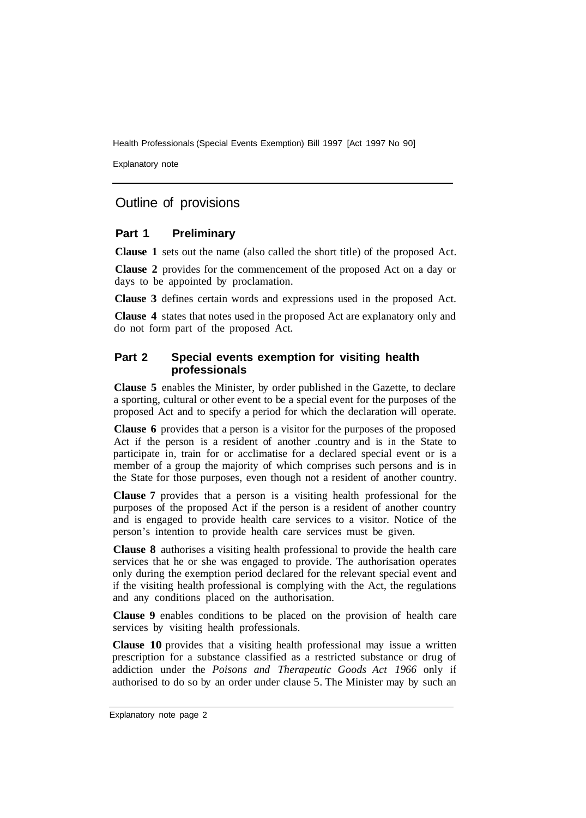Health Professionals (Special Events Exemption) Bill 1997 [Act 1997 No 90]

Explanatory note

## Outline of provisions

### **Part 1 Preliminary**

**Clause 1** sets out the name (also called the short title) of the proposed Act.

**Clause 2** provides for the commencement of the proposed Act on a day or days to be appointed by proclamation.

**Clause 3** defines certain words and expressions used in the proposed Act.

**Clause 4** states that notes used in the proposed Act are explanatory only and do not form part of the proposed Act.

#### **Part 2 Special events exemption for visiting health professionals**

**Clause 5** enables the Minister, by order published in the Gazette, to declare a sporting, cultural or other event to be a special event for the purposes of the proposed Act and to specify a period for which the declaration will operate.

**Clause 6** provides that a person is a visitor for the purposes of the proposed Act if the person is a resident of another .country and is in the State to participate in, train for or acclimatise for a declared special event or is a member of a group the majority of which comprises such persons and is in the State for those purposes, even though not a resident of another country.

**Clause 7** provides that a person is a visiting health professional for the purposes of the proposed Act if the person is a resident of another country and is engaged to provide health care services to a visitor. Notice of the person's intention to provide health care services must be given.

**Clause 8** authorises a visiting health professional to provide the health care services that he or she was engaged to provide. The authorisation operates only during the exemption period declared for the relevant special event and if the visiting health professional is complying with the Act, the regulations and any conditions placed on the authorisation.

**Clause 9** enables conditions to be placed on the provision of health care services by visiting health professionals.

**Clause 10** provides that a visiting health professional may issue a written prescription for a substance classified as a restricted substance or drug of addiction under the *Poisons and Therapeutic Goods Act 1966* only if authorised to do so by an order under clause 5. The Minister may by such an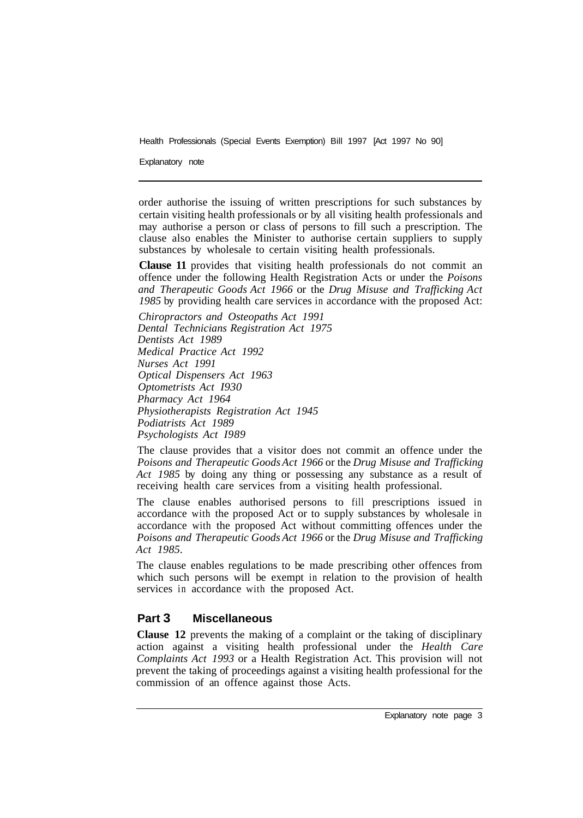Health Professionals (Special Events Exemption) Bill 1997 [Act 1997 No 90]

Explanatory note

order authorise the issuing of written prescriptions for such substances by certain visiting health professionals or by all visiting health professionals and may authorise a person or class of persons to fill such a prescription. The clause also enables the Minister to authorise certain suppliers to supply substances by wholesale to certain visiting health professionals.

**Clause 11** provides that visiting health professionals do not commit an offence under the following Health Registration Acts or under the *Poisons and Therapeutic Goods Act 1966* or the *Drug Misuse and Trafficking Act 1985* by providing health care services in accordance with the proposed Act:

*Chiropractors and Osteopaths Act 1991 Dental Technicians Registration Act 1975 Dentists Act 1989 Medical Practice Act 1992 Nurses Act 1991 Optical Dispensers Act 1963 Optometrists Act I930 Pharmacy Act 1964 Physiotherapists Registration Act 1945 Podiatrists Act 1989 Psychologists Act I989* 

The clause provides that a visitor does not commit an offence under the *Poisons and Therapeutic Goods Act 1966* or the *Drug Misuse and Trafficking Act 1985* by doing any thing or possessing any substance as a result of receiving health care services from a visiting health professional.

The clause enables authorised persons to fill prescriptions issued in accordance with the proposed Act or to supply substances by wholesale in accordance with the proposed Act without committing offences under the *Poisons and Therapeutic Goods Act 1966* or the *Drug Misuse and Trafficking Act 1985.* 

The clause enables regulations to be made prescribing other offences from which such persons will be exempt in relation to the provision of health services in accordance with the proposed Act.

### **Part 3 Miscellaneous**

**Clause 12** prevents the making of a complaint or the taking of disciplinary action against a visiting health professional under the *Health Care Complaints Act 1993* or a Health Registration Act. This provision will not prevent the taking of proceedings against a visiting health professional for the commission of an offence against those Acts.